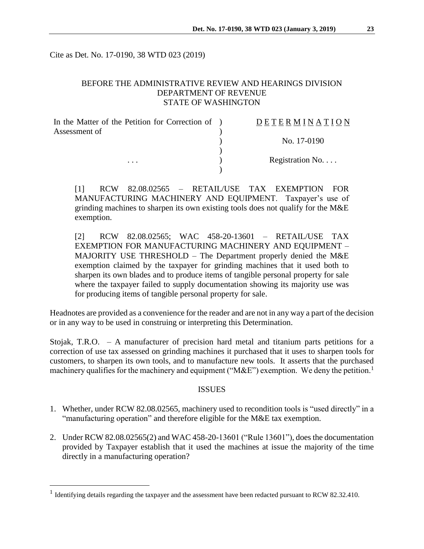Cite as Det. No. 17-0190, 38 WTD 023 (2019)

# BEFORE THE ADMINISTRATIVE REVIEW AND HEARINGS DIVISION DEPARTMENT OF REVENUE STATE OF WASHINGTON

| In the Matter of the Petition for Correction of ) | DETERMINATION    |
|---------------------------------------------------|------------------|
| Assessment of                                     |                  |
|                                                   | No. 17-0190      |
|                                                   |                  |
| $\cdots$                                          | Registration No. |
|                                                   |                  |

[1] RCW 82.08.02565 – RETAIL/USE TAX EXEMPTION FOR MANUFACTURING MACHINERY AND EQUIPMENT. Taxpayer's use of grinding machines to sharpen its own existing tools does not qualify for the M&E exemption.

[2] RCW 82.08.02565; WAC 458-20-13601 – RETAIL/USE TAX EXEMPTION FOR MANUFACTURING MACHINERY AND EQUIPMENT – MAJORITY USE THRESHOLD – The Department properly denied the M&E exemption claimed by the taxpayer for grinding machines that it used both to sharpen its own blades and to produce items of tangible personal property for sale where the taxpayer failed to supply documentation showing its majority use was for producing items of tangible personal property for sale.

Headnotes are provided as a convenience for the reader and are not in any way a part of the decision or in any way to be used in construing or interpreting this Determination.

Stojak, T.R.O. – A manufacturer of precision hard metal and titanium parts petitions for a correction of use tax assessed on grinding machines it purchased that it uses to sharpen tools for customers, to sharpen its own tools, and to manufacture new tools. It asserts that the purchased machinery qualifies for the machinery and equipment (" $M\&E$ ") exemption. We deny the petition.<sup>1</sup>

### ISSUES

- 1. Whether, under RCW 82.08.02565, machinery used to recondition tools is "used directly" in a "manufacturing operation" and therefore eligible for the M&E tax exemption.
- 2. Under RCW 82.08.02565(2) and WAC 458-20-13601 ("Rule 13601"), does the documentation provided by Taxpayer establish that it used the machines at issue the majority of the time directly in a manufacturing operation?

 $\overline{a}$ 

<sup>&</sup>lt;sup>1</sup> Identifying details regarding the taxpayer and the assessment have been redacted pursuant to RCW 82.32.410.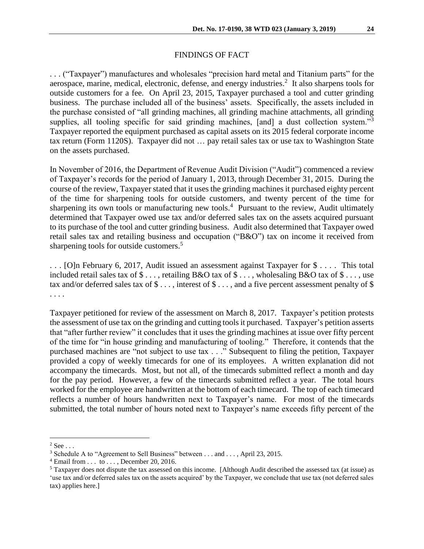## FINDINGS OF FACT

. . . ("Taxpayer") manufactures and wholesales "precision hard metal and Titanium parts" for the aerospace, marine, medical, electronic, defense, and energy industries.<sup>2</sup> It also sharpens tools for outside customers for a fee. On April 23, 2015, Taxpayer purchased a tool and cutter grinding business. The purchase included all of the business' assets. Specifically, the assets included in the purchase consisted of "all grinding machines, all grinding machine attachments, all grinding supplies, all tooling specific for said grinding machines, [and] a dust collection system."<sup>3</sup> Taxpayer reported the equipment purchased as capital assets on its 2015 federal corporate income tax return (Form 1120S). Taxpayer did not … pay retail sales tax or use tax to Washington State on the assets purchased.

In November of 2016, the Department of Revenue Audit Division ("Audit") commenced a review of Taxpayer's records for the period of January 1, 2013, through December 31, 2015. During the course of the review, Taxpayer stated that it uses the grinding machines it purchased eighty percent of the time for sharpening tools for outside customers, and twenty percent of the time for sharpening its own tools or manufacturing new tools.<sup>4</sup> Pursuant to the review, Audit ultimately determined that Taxpayer owed use tax and/or deferred sales tax on the assets acquired pursuant to its purchase of the tool and cutter grinding business. Audit also determined that Taxpayer owed retail sales tax and retailing business and occupation ("B&O") tax on income it received from sharpening tools for outside customers.<sup>5</sup>

. . . [O]n February 6, 2017, Audit issued an assessment against Taxpayer for \$ . . . . This total included retail sales tax of \$ . . . , retailing B&O tax of \$ . . . , wholesaling B&O tax of \$ . . . , use tax and/or deferred sales tax of \$ ..., interest of \$ ..., and a five percent assessment penalty of \$ . . . .

Taxpayer petitioned for review of the assessment on March 8, 2017. Taxpayer's petition protests the assessment of use tax on the grinding and cutting tools it purchased. Taxpayer's petition asserts that "after further review" it concludes that it uses the grinding machines at issue over fifty percent of the time for "in house grinding and manufacturing of tooling." Therefore, it contends that the purchased machines are "not subject to use tax . . ." Subsequent to filing the petition, Taxpayer provided a copy of weekly timecards for one of its employees. A written explanation did not accompany the timecards. Most, but not all, of the timecards submitted reflect a month and day for the pay period. However, a few of the timecards submitted reflect a year. The total hours worked for the employee are handwritten at the bottom of each timecard. The top of each timecard reflects a number of hours handwritten next to Taxpayer's name. For most of the timecards submitted, the total number of hours noted next to Taxpayer's name exceeds fifty percent of the

 $\overline{a}$ 

 $2$  See  $\ldots$ 

<sup>&</sup>lt;sup>3</sup> Schedule A to "Agreement to Sell Business" between . . . and . . . , April 23, 2015.

 $4$  Email from  $\dots$  to  $\dots$ , December 20, 2016.

 $5$  Taxpayer does not dispute the tax assessed on this income. [Although Audit described the assessed tax (at issue) as 'use tax and/or deferred sales tax on the assets acquired' by the Taxpayer, we conclude that use tax (not deferred sales tax) applies here.]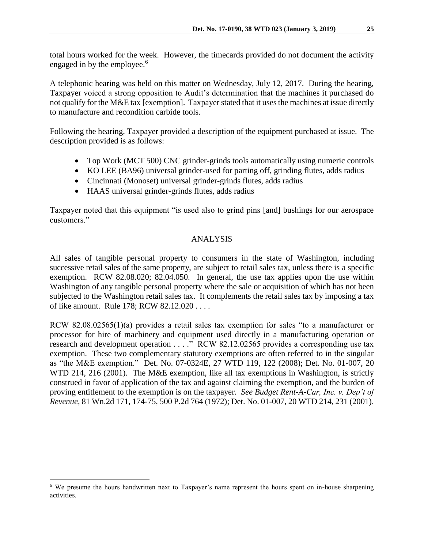total hours worked for the week. However, the timecards provided do not document the activity engaged in by the employee. 6

A telephonic hearing was held on this matter on Wednesday, July 12, 2017. During the hearing, Taxpayer voiced a strong opposition to Audit's determination that the machines it purchased do not qualify for the M&E tax [exemption]. Taxpayer stated that it uses the machines at issue directly to manufacture and recondition carbide tools.

Following the hearing, Taxpayer provided a description of the equipment purchased at issue. The description provided is as follows:

- Top Work (MCT 500) CNC grinder-grinds tools automatically using numeric controls
- KO LEE (BA96) universal grinder-used for parting off, grinding flutes, adds radius
- Cincinnati (Monoset) universal grinder-grinds flutes, adds radius
- HAAS universal grinder-grinds flutes, adds radius

Taxpayer noted that this equipment "is used also to grind pins [and] bushings for our aerospace customers."

# ANALYSIS

All sales of tangible personal property to consumers in the state of Washington, including successive retail sales of the same property, are subject to retail sales tax, unless there is a specific exemption. RCW 82.08.020; 82.04.050. In general, the use tax applies upon the use within Washington of any tangible personal property where the sale or acquisition of which has not been subjected to the Washington retail sales tax. It complements the retail sales tax by imposing a tax of like amount. Rule 178; RCW 82.12.020 . . . .

RCW 82.08.02565(1)(a) provides a retail sales tax exemption for sales "to a manufacturer or processor for hire of machinery and equipment used directly in a manufacturing operation or research and development operation . . . ." RCW 82.12.02565 provides a corresponding use tax exemption. These two complementary statutory exemptions are often referred to in the singular as "the M&E exemption." Det. No. 07-0324E, 27 WTD 119, 122 (2008); Det. No. 01-007, 20 WTD 214, 216 (2001). The M&E exemption, like all tax exemptions in Washington, is strictly construed in favor of application of the tax and against claiming the exemption, and the burden of proving entitlement to the exemption is on the taxpayer. *See Budget Rent-A-Car, Inc. v. Dep't of Revenue,* 81 Wn.2d 171, 174-75, 500 P.2d 764 (1972); Det. No. 01-007, 20 WTD 214, 231 (2001).

 $\overline{a}$ 

<sup>6</sup> We presume the hours handwritten next to Taxpayer's name represent the hours spent on in-house sharpening activities.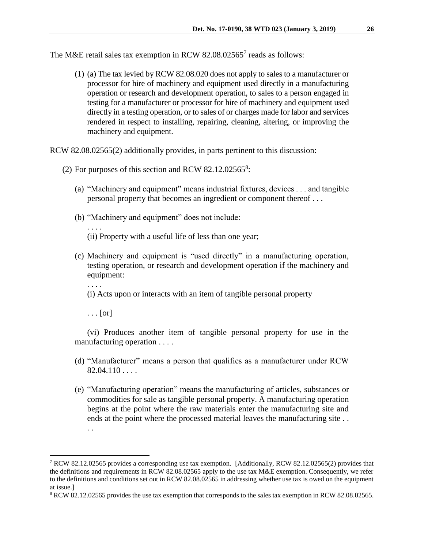The M&E retail sales tax exemption in RCW 82.08.02565 $^7$  reads as follows:

(1) (a) The tax levied by RCW 82.08.020 does not apply to sales to a manufacturer or processor for hire of machinery and equipment used directly in a manufacturing operation or research and development operation, to sales to a person engaged in testing for a manufacturer or processor for hire of machinery and equipment used directly in a testing operation, or to sales of or charges made for labor and services rendered in respect to installing, repairing, cleaning, altering, or improving the machinery and equipment.

RCW 82.08.02565(2) additionally provides, in parts pertinent to this discussion:

- (2) For purposes of this section and RCW  $82.12.02565^8$ :
	- (a) "Machinery and equipment" means industrial fixtures, devices . . . and tangible personal property that becomes an ingredient or component thereof . . .
	- (b) "Machinery and equipment" does not include:
		- (ii) Property with a useful life of less than one year;
	- (c) Machinery and equipment is "used directly" in a manufacturing operation, testing operation, or research and development operation if the machinery and equipment:
		- . . . .

 $\overline{a}$ 

. . . .

(i) Acts upon or interacts with an item of tangible personal property

 $\ldots$  [or]

(vi) Produces another item of tangible personal property for use in the manufacturing operation . . . .

- (d) "Manufacturer" means a person that qualifies as a manufacturer under RCW  $82.04.110...$
- (e) "Manufacturing operation" means the manufacturing of articles, substances or commodities for sale as tangible personal property. A manufacturing operation begins at the point where the raw materials enter the manufacturing site and ends at the point where the processed material leaves the manufacturing site . . . .

<sup>&</sup>lt;sup>7</sup> RCW 82.12.02565 provides a corresponding use tax exemption. [Additionally, RCW 82.12.02565(2) provides that the definitions and requirements in RCW 82.08.02565 apply to the use tax M&E exemption. Consequently, we refer to the definitions and conditions set out in RCW 82.08.02565 in addressing whether use tax is owed on the equipment at issue.]

<sup>8</sup> RCW 82.12.02565 provides the use tax exemption that corresponds to the sales tax exemption in RCW 82.08.02565.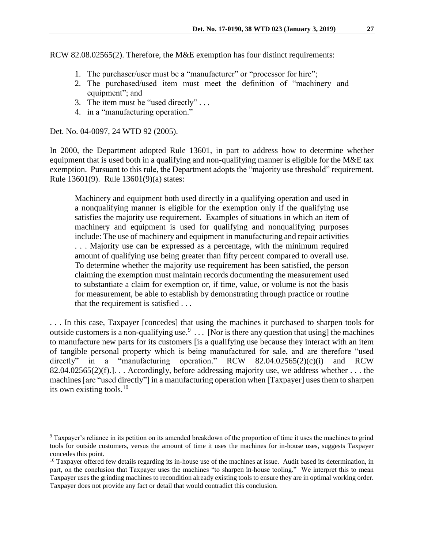RCW 82.08.02565(2). Therefore, the M&E exemption has four distinct requirements:

- 1. The purchaser/user must be a "manufacturer" or "processor for hire";
- 2. The purchased/used item must meet the definition of "machinery and equipment"; and
- 3. The item must be "used directly" . . .
- 4. in a "manufacturing operation."

Det. No. 04-0097, 24 WTD 92 (2005).

 $\overline{a}$ 

In 2000, the Department adopted Rule 13601, in part to address how to determine whether equipment that is used both in a qualifying and non-qualifying manner is eligible for the M&E tax exemption. Pursuant to this rule, the Department adopts the "majority use threshold" requirement. Rule 13601(9). Rule 13601(9)(a) states:

Machinery and equipment both used directly in a qualifying operation and used in a nonqualifying manner is eligible for the exemption only if the qualifying use satisfies the majority use requirement. Examples of situations in which an item of machinery and equipment is used for qualifying and nonqualifying purposes include: The use of machinery and equipment in manufacturing and repair activities . . . Majority use can be expressed as a percentage, with the minimum required amount of qualifying use being greater than fifty percent compared to overall use. To determine whether the majority use requirement has been satisfied, the person claiming the exemption must maintain records documenting the measurement used to substantiate a claim for exemption or, if time, value, or volume is not the basis for measurement, be able to establish by demonstrating through practice or routine that the requirement is satisfied . . .

. . . In this case, Taxpayer [concedes] that using the machines it purchased to sharpen tools for outside customers is a non-qualifying use.<sup>9</sup> ... [Nor is there any question that using] the machines to manufacture new parts for its customers [is a qualifying use because they interact with an item of tangible personal property which is being manufactured for sale, and are therefore "used directly" in a "manufacturing operation." RCW  $82.04.02565(2)(c)(i)$  and RCW 82.04.02565(2)(f).]. . . Accordingly, before addressing majority use, we address whether . . . the machines [are "used directly"] in a manufacturing operation when [Taxpayer] uses them to sharpen its own existing tools.<sup>10</sup>

<sup>9</sup> Taxpayer's reliance in its petition on its amended breakdown of the proportion of time it uses the machines to grind tools for outside customers, versus the amount of time it uses the machines for in-house uses, suggests Taxpayer concedes this point.

<sup>&</sup>lt;sup>10</sup> Taxpayer offered few details regarding its in-house use of the machines at issue. Audit based its determination, in part, on the conclusion that Taxpayer uses the machines "to sharpen in-house tooling." We interpret this to mean Taxpayer uses the grinding machines to recondition already existing tools to ensure they are in optimal working order. Taxpayer does not provide any fact or detail that would contradict this conclusion.